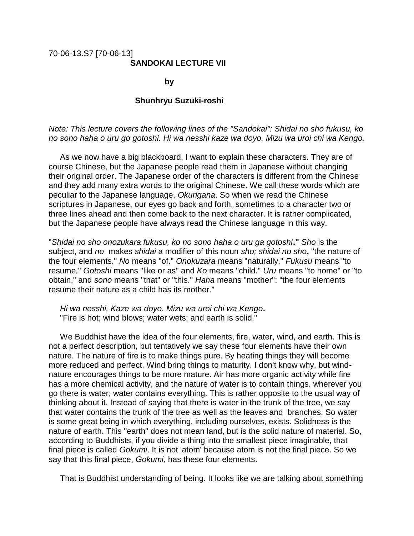## 70-06-13.S7 [70-06-13] **SANDOKAI LECTURE VII**

**by** by the contract of  $\mathbf{b}$ 

## **Shunhryu Suzuki-roshi**

*Note: This lecture covers the following lines of the "Sandokai": Shidai no sho fukusu, ko no sono haha o uru go gotoshi. Hi wa nesshi kaze wa doyo. Mizu wa uroi chi wa Kengo.*

 As we now have a big blackboard, I want to explain these characters. They are of course Chinese, but the Japanese people read them in Japanese without changing their original order. The Japanese order of the characters is different from the Chinese and they add many extra words to the original Chinese. We call these words which are peculiar to the Japanese language, *Okurigana*. So when we read the Chinese scriptures in Japanese, our eyes go back and forth, sometimes to a character two or three lines ahead and then come back to the next character. It is rather complicated, but the Japanese people have always read the Chinese language in this way.

"*Shidai no sho onozukara fukusu, ko no sono haha o uru ga gotoshi***."** *Sho* is the subject, and *no* makes *shidai* a modifier of this noun *sho; shidai no sho***,** "the nature of the four elements." *No* means "of." *Onokuzara* means "naturally." *Fukusu* means "to resume." *Gotoshi* means "like or as" and *Ko* means "child." *Uru* means "to home" or "to obtain," and *sono* means "that" or "this." *Haha* means "mother": "the four elements resume their nature as a child has its mother."

 *Hi wa nesshi, Kaze wa doyo. Mizu wa uroi chi wa Kengo***.** "Fire is hot; wind blows; water wets; and earth is solid."

 We Buddhist have the idea of the four elements, fire, water, wind, and earth. This is not a perfect description, but tentatively we say these four elements have their own nature. The nature of fire is to make things pure. By heating things they will become more reduced and perfect. Wind bring things to maturity. I don't know why, but windnature encourages things to be more mature. Air has more organic activity while fire has a more chemical activity, and the nature of water is to contain things. wherever you go there is water; water contains everything. This is rather opposite to the usual way of thinking about it. Instead of saying that there is water in the trunk of the tree, we say that water contains the trunk of the tree as well as the leaves and branches. So water is some great being in which everything, including ourselves, exists. Solidness is the nature of earth. This "earth" does not mean land, but is the solid nature of material. So, according to Buddhists, if you divide a thing into the smallest piece imaginable, that final piece is called *Gokumi*. It is not 'atom' because atom is not the final piece. So we say that this final piece, *Gokumi*, has these four elements.

That is Buddhist understanding of being. It looks like we are talking about something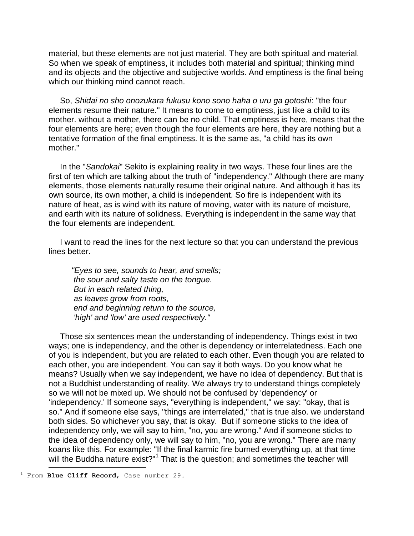material, but these elements are not just material. They are both spiritual and material. So when we speak of emptiness, it includes both material and spiritual; thinking mind and its objects and the objective and subjective worlds. And emptiness is the final being which our thinking mind cannot reach.

 So, *Shidai no sho onozukara fukusu kono sono haha o uru ga gotoshi*: "the four elements resume their nature." It means to come to emptiness, just like a child to its mother. without a mother, there can be no child. That emptiness is here, means that the four elements are here; even though the four elements are here, they are nothing but a tentative formation of the final emptiness. It is the same as, "a child has its own mother."

 In the "*Sandokai*" Sekito is explaining reality in two ways. These four lines are the first of ten which are talking about the truth of "independency." Although there are many elements, those elements naturally resume their original nature. And although it has its own source, its own mother, a child is independent. So fire is independent with its nature of heat, as is wind with its nature of moving, water with its nature of moisture, and earth with its nature of solidness. Everything is independent in the same way that the four elements are independent.

 I want to read the lines for the next lecture so that you can understand the previous lines better.

 *"Eyes to see, sounds to hear, and smells; the sour and salty taste on the tongue. But in each related thing, as leaves grow from roots, end and beginning return to the source, 'high' and 'low' are used respectively."*

 Those six sentences mean the understanding of independency. Things exist in two ways; one is independency, and the other is dependency or interrelatedness. Each one of you is independent, but you are related to each other. Even though you are related to each other, you are independent. You can say it both ways. Do you know what he means? Usually when we say independent, we have no idea of dependency. But that is not a Buddhist understanding of reality. We always try to understand things completely so we will not be mixed up. We should not be confused by 'dependency' or 'independency.' If someone says, "everything is independent," we say: "okay, that is so." And if someone else says, "things are interrelated," that is true also. we understand both sides. So whichever you say, that is okay. But if someone sticks to the idea of independency only, we will say to him, "no, you are wrong." And if someone sticks to the idea of dependency only, we will say to him, "no, you are wrong." There are many koans like this. For example: "If the final karmic fire burned everything up, at that time will the Buddha nature exist?"<sup>1</sup> That is the question; and sometimes the teacher will ÷.

<sup>1</sup> From **Blue Cliff Record**, Case number 29.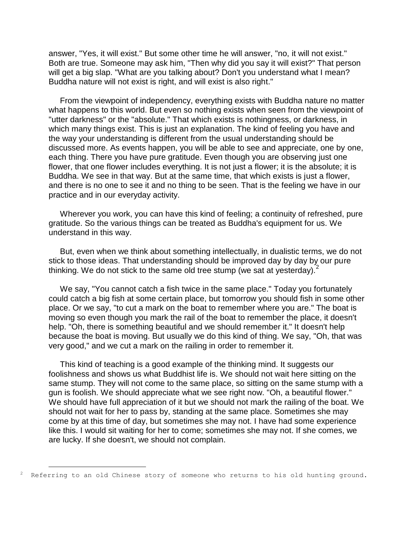answer, "Yes, it will exist." But some other time he will answer, "no, it will not exist." Both are true. Someone may ask him, "Then why did you say it will exist?" That person will get a big slap. "What are you talking about? Don't you understand what I mean? Buddha nature will not exist is right, and will exist is also right."

 From the viewpoint of independency, everything exists with Buddha nature no matter what happens to this world. But even so nothing exists when seen from the viewpoint of "utter darkness" or the "absolute." That which exists is nothingness, or darkness, in which many things exist. This is just an explanation. The kind of feeling you have and the way your understanding is different from the usual understanding should be discussed more. As events happen, you will be able to see and appreciate, one by one, each thing. There you have pure gratitude. Even though you are observing just one flower, that one flower includes everything. It is not just a flower; it is the absolute; it is Buddha. We see in that way. But at the same time, that which exists is just a flower, and there is no one to see it and no thing to be seen. That is the feeling we have in our practice and in our everyday activity.

 Wherever you work, you can have this kind of feeling; a continuity of refreshed, pure gratitude. So the various things can be treated as Buddha's equipment for us. We understand in this way.

 But, even when we think about something intellectually, in dualistic terms, we do not stick to those ideas. That understanding should be improved day by day by our pure thinking. We do not stick to the same old tree stump (we sat at yesterday).<sup>2</sup>

 We say, "You cannot catch a fish twice in the same place." Today you fortunately could catch a big fish at some certain place, but tomorrow you should fish in some other place. Or we say, "to cut a mark on the boat to remember where you are." The boat is moving so even though you mark the rail of the boat to remember the place, it doesn't help. "Oh, there is something beautiful and we should remember it." It doesn't help because the boat is moving. But usually we do this kind of thing. We say, "Oh, that was very good," and we cut a mark on the railing in order to remember it.

 This kind of teaching is a good example of the thinking mind. It suggests our foolishness and shows us what Buddhist life is. We should not wait here sitting on the same stump. They will not come to the same place, so sitting on the same stump with a gun is foolish. We should appreciate what we see right now. "Oh, a beautiful flower." We should have full appreciation of it but we should not mark the railing of the boat. We should not wait for her to pass by, standing at the same place. Sometimes she may come by at this time of day, but sometimes she may not. I have had some experience like this. I would sit waiting for her to come; sometimes she may not. If she comes, we are lucky. If she doesn't, we should not complain.

÷.

Referring to an old Chinese story of someone who returns to his old hunting ground.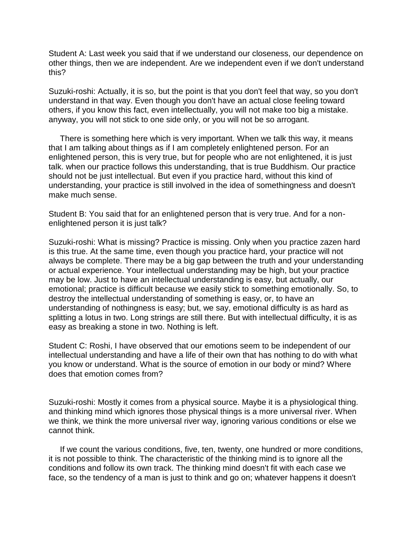Student A: Last week you said that if we understand our closeness, our dependence on other things, then we are independent. Are we independent even if we don't understand this?

Suzuki-roshi: Actually, it is so, but the point is that you don't feel that way, so you don't understand in that way. Even though you don't have an actual close feeling toward others, if you know this fact, even intellectually, you will not make too big a mistake. anyway, you will not stick to one side only, or you will not be so arrogant.

 There is something here which is very important. When we talk this way, it means that I am talking about things as if I am completely enlightened person. For an enlightened person, this is very true, but for people who are not enlightened, it is just talk. when our practice follows this understanding, that is true Buddhism. Our practice should not be just intellectual. But even if you practice hard, without this kind of understanding, your practice is still involved in the idea of somethingness and doesn't make much sense.

Student B: You said that for an enlightened person that is very true. And for a nonenlightened person it is just talk?

Suzuki-roshi: What is missing? Practice is missing. Only when you practice zazen hard is this true. At the same time, even though you practice hard, your practice will not always be complete. There may be a big gap between the truth and your understanding or actual experience. Your intellectual understanding may be high, but your practice may be low. Just to have an intellectual understanding is easy, but actually, our emotional; practice is difficult because we easily stick to something emotionally. So, to destroy the intellectual understanding of something is easy, or, to have an understanding of nothingness is easy; but, we say, emotional difficulty is as hard as splitting a lotus in two. Long strings are still there. But with intellectual difficulty, it is as easy as breaking a stone in two. Nothing is left.

Student C: Roshi, I have observed that our emotions seem to be independent of our intellectual understanding and have a life of their own that has nothing to do with what you know or understand. What is the source of emotion in our body or mind? Where does that emotion comes from?

Suzuki-roshi: Mostly it comes from a physical source. Maybe it is a physiological thing. and thinking mind which ignores those physical things is a more universal river. When we think, we think the more universal river way, ignoring various conditions or else we cannot think.

 If we count the various conditions, five, ten, twenty, one hundred or more conditions, it is not possible to think. The characteristic of the thinking mind is to ignore all the conditions and follow its own track. The thinking mind doesn't fit with each case we face, so the tendency of a man is just to think and go on; whatever happens it doesn't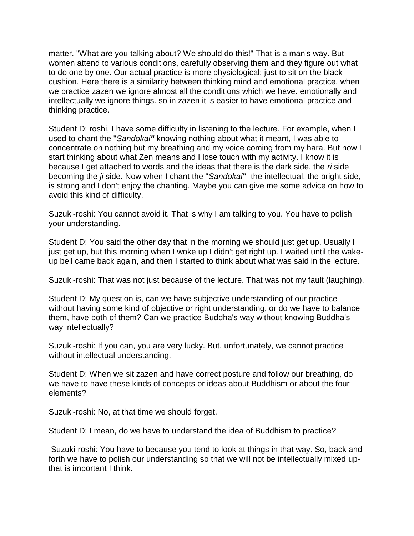matter. "What are you talking about? We should do this!" That is a man's way. But women attend to various conditions, carefully observing them and they figure out what to do one by one. Our actual practice is more physiological; just to sit on the black cushion. Here there is a similarity between thinking mind and emotional practice. when we practice zazen we ignore almost all the conditions which we have. emotionally and intellectually we ignore things. so in zazen it is easier to have emotional practice and thinking practice.

Student D: roshi, I have some difficulty in listening to the lecture. For example, when I used to chant the "*Sandokai"* knowing nothing about what it meant, I was able to concentrate on nothing but my breathing and my voice coming from my hara. But now I start thinking about what Zen means and I lose touch with my activity. I know it is because I get attached to words and the ideas that there is the dark side, the *ri* side becoming the *ji* side. Now when I chant the "*Sandokai***"** the intellectual, the bright side, is strong and I don't enjoy the chanting. Maybe you can give me some advice on how to avoid this kind of difficulty.

Suzuki-roshi: You cannot avoid it. That is why I am talking to you. You have to polish your understanding.

Student D: You said the other day that in the morning we should just get up. Usually I just get up, but this morning when I woke up I didn't get right up. I waited until the wakeup bell came back again, and then I started to think about what was said in the lecture.

Suzuki-roshi: That was not just because of the lecture. That was not my fault (laughing).

Student D: My question is, can we have subjective understanding of our practice without having some kind of objective or right understanding, or do we have to balance them, have both of them? Can we practice Buddha's way without knowing Buddha's way intellectually?

Suzuki-roshi: If you can, you are very lucky. But, unfortunately, we cannot practice without intellectual understanding.

Student D: When we sit zazen and have correct posture and follow our breathing, do we have to have these kinds of concepts or ideas about Buddhism or about the four elements?

Suzuki-roshi: No, at that time we should forget.

Student D: I mean, do we have to understand the idea of Buddhism to practice?

Suzuki-roshi: You have to because you tend to look at things in that way. So, back and forth we have to polish our understanding so that we will not be intellectually mixed upthat is important I think.